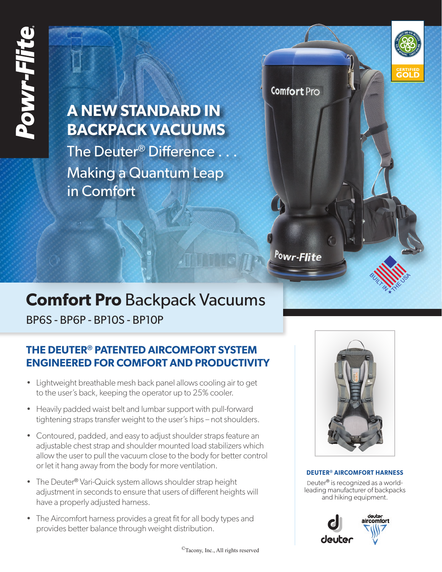

# **A NEW STANDARD IN BACKPACK VACUUMS**

The Deuter® Difference . . . Making a Quantum Leap in Comfort

Comfort Pro

<sup>Po</sup>wr-Flite

## **Comfort Pro** Backpack Vacuums

BP6S - BP6P - BP10S - BP10P

### **THE DEUTER® PATENTED AIRCOMFORT SYSTEM ENGINEERED FOR COMFORT AND PRODUCTIVITY**

- Lightweight breathable mesh back panel allows cooling air to get to the user's back, keeping the operator up to 25% cooler.
- Heavily padded waist belt and lumbar support with pull-forward tightening straps transfer weight to the user's hips – not shoulders.
- Contoured, padded, and easy to adjust shoulder straps feature an adjustable chest strap and shoulder mounted load stabilizers which allow the user to pull the vacuum close to the body for better control or let it hang away from the body for more ventilation.
- The Deuter® Vari-Quick system allows shoulder strap height adjustment in seconds to ensure that users of different heights will have a properly adjusted harness.
- The Aircomfort harness provides a great fit for all body types and provides better balance through weight distribution.



BUILT IN THE  $\star$ 

### **DEUTER® AIRCOMFORT HARNESS**

Deuter® is recognized as a worldleading manufacturer of backpacks and hiking equipment.